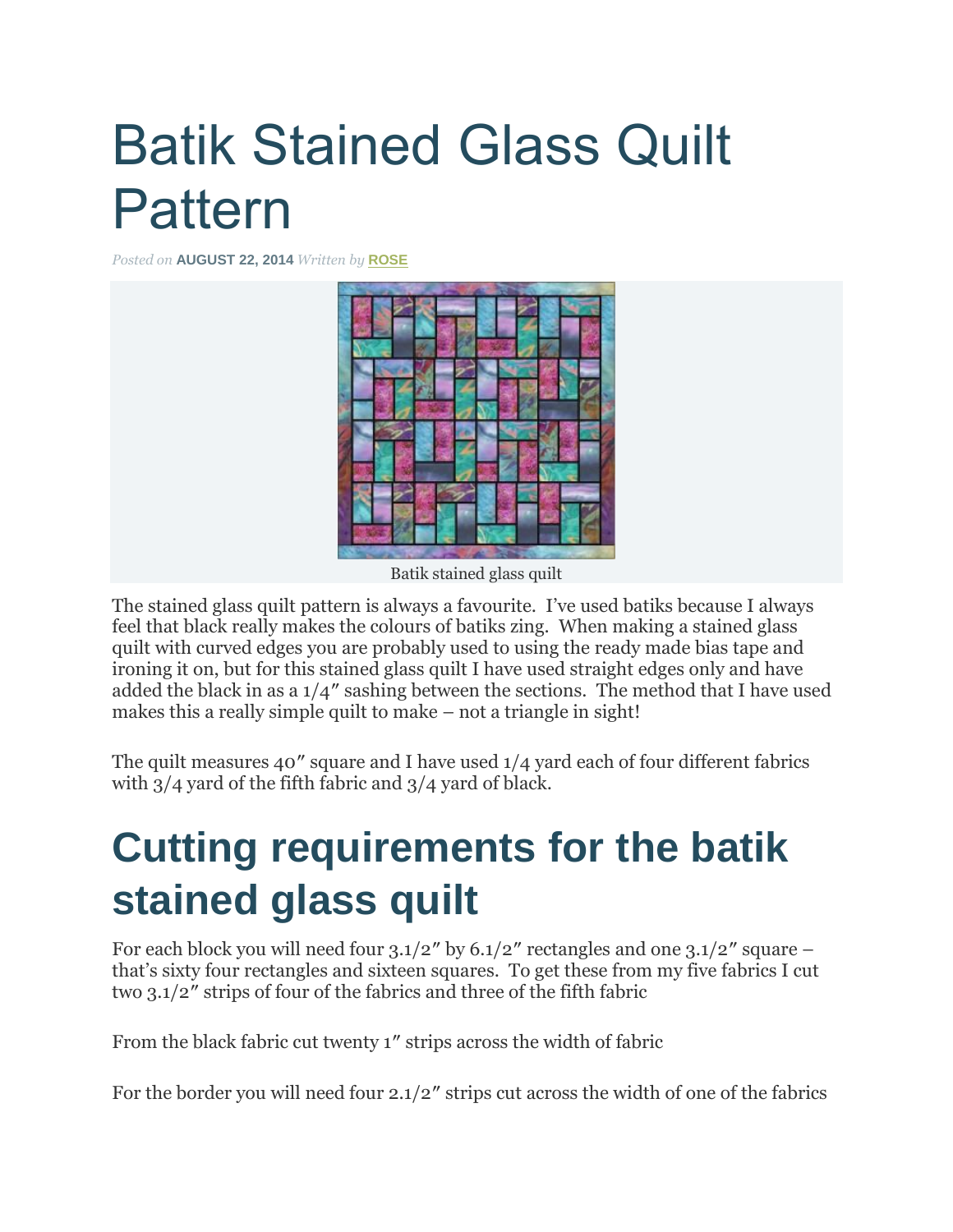# Batik Stained Glass Quilt Pattern

*Posted on* **AUGUST 22, 2014** *Written by* **[ROSE](http://ludlowquiltandsew.co.uk/author/rose/)**



Batik stained glass quilt

The stained glass quilt pattern is always a favourite. I've used batiks because I always feel that black really makes the colours of batiks zing. When making a stained glass quilt with curved edges you are probably used to using the ready made bias tape and ironing it on, but for this stained glass quilt I have used straight edges only and have added the black in as a 1/4″ sashing between the sections. The method that I have used makes this a really simple quilt to make – not a triangle in sight!

The quilt measures 40″ square and I have used 1/4 yard each of four different fabrics with 3/4 yard of the fifth fabric and 3/4 yard of black.

## **Cutting requirements for the batik stained glass quilt**

For each block you will need four  $3.1/2''$  by  $6.1/2''$  rectangles and one  $3.1/2''$  square – that's sixty four rectangles and sixteen squares. To get these from my five fabrics I cut two 3.1/2″ strips of four of the fabrics and three of the fifth fabric

From the black fabric cut twenty 1″ strips across the width of fabric

For the border you will need four 2.1/2″ strips cut across the width of one of the fabrics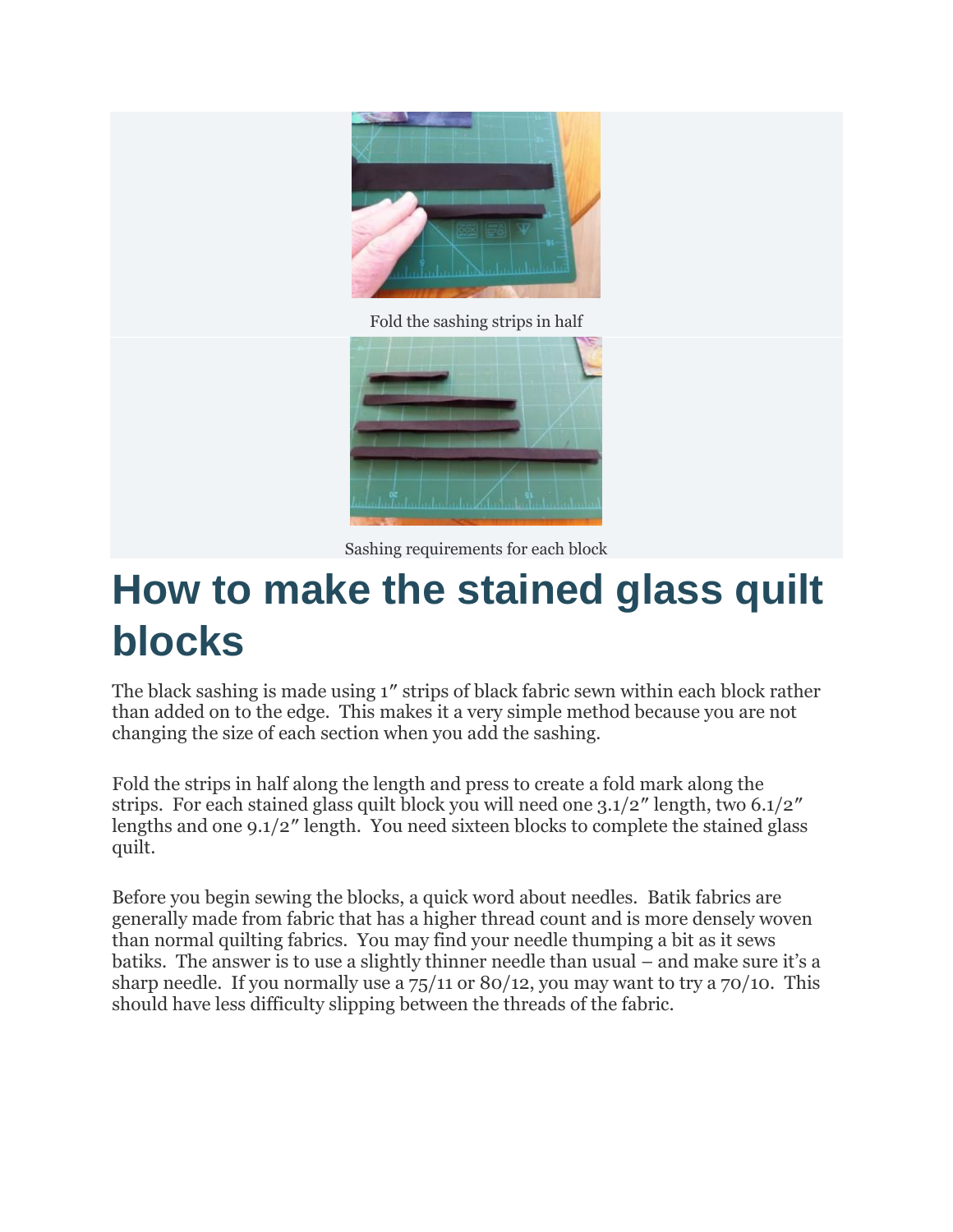

Fold the sashing strips in half



Sashing requirements for each block

#### **How to make the stained glass quilt blocks**

The black sashing is made using 1″ strips of black fabric sewn within each block rather than added on to the edge. This makes it a very simple method because you are not changing the size of each section when you add the sashing.

Fold the strips in half along the length and press to create a fold mark along the strips. For each stained glass quilt block you will need one 3.1/2″ length, two 6.1/2″ lengths and one 9.1/2″ length. You need sixteen blocks to complete the stained glass quilt.

Before you begin sewing the blocks, a quick word about needles. Batik fabrics are generally made from fabric that has a higher thread count and is more densely woven than normal quilting fabrics. You may find your needle thumping a bit as it sews batiks. The answer is to use a slightly thinner needle than usual – and make sure it's a sharp needle. If you normally use a  $75/11$  or  $80/12$ , you may want to try a  $70/10$ . This should have less difficulty slipping between the threads of the fabric.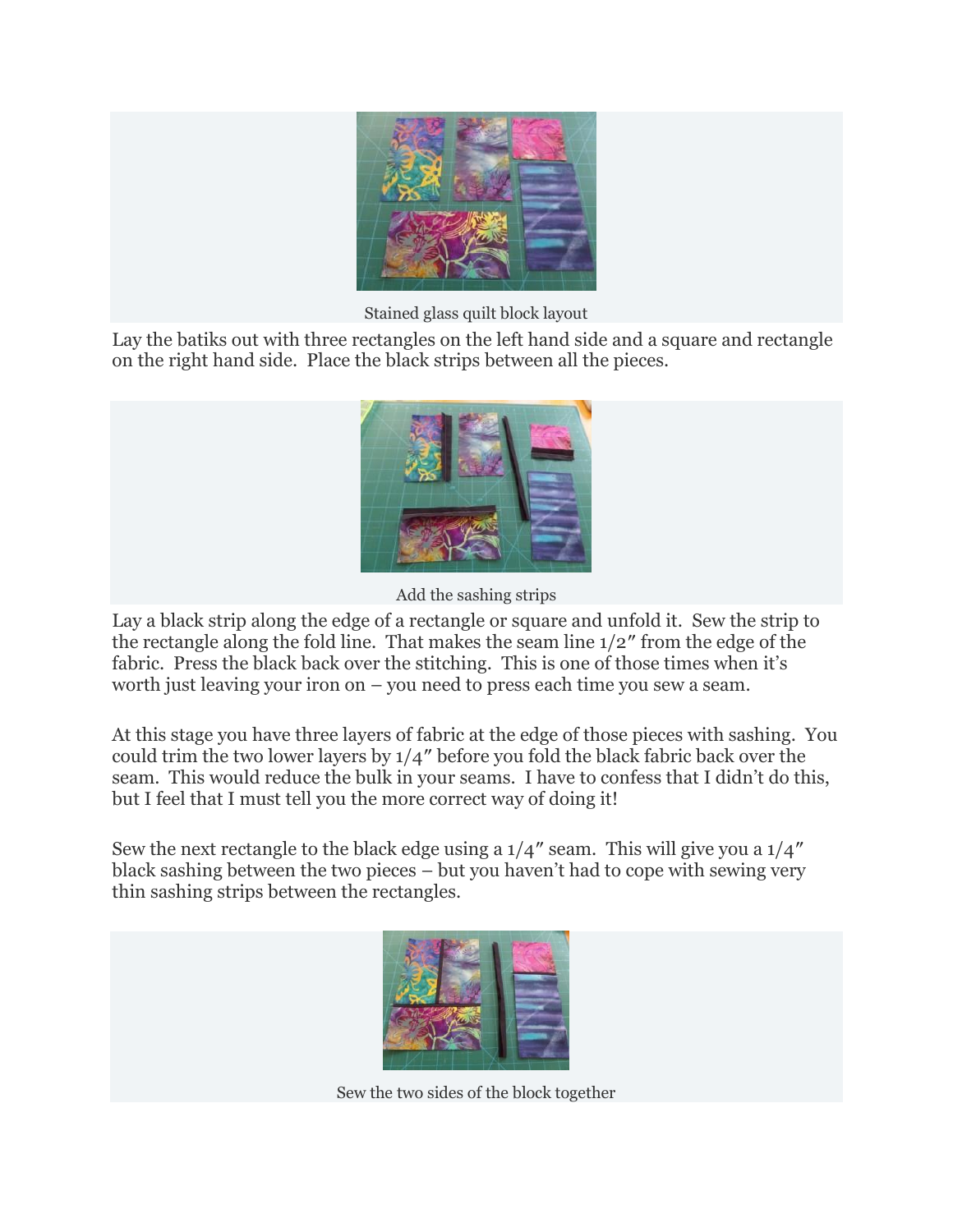

Stained glass quilt block layout

Lay the batiks out with three rectangles on the left hand side and a square and rectangle on the right hand side. Place the black strips between all the pieces.



Add the sashing strips

Lay a black strip along the edge of a rectangle or square and unfold it. Sew the strip to the rectangle along the fold line. That makes the seam line 1/2″ from the edge of the fabric. Press the black back over the stitching. This is one of those times when it's worth just leaving your iron on – you need to press each time you sew a seam.

At this stage you have three layers of fabric at the edge of those pieces with sashing. You could trim the two lower layers by 1/4″ before you fold the black fabric back over the seam. This would reduce the bulk in your seams. I have to confess that I didn't do this, but I feel that I must tell you the more correct way of doing it!

Sew the next rectangle to the black edge using a 1/4″ seam. This will give you a 1/4″ black sashing between the two pieces – but you haven't had to cope with sewing very thin sashing strips between the rectangles.



Sew the two sides of the block together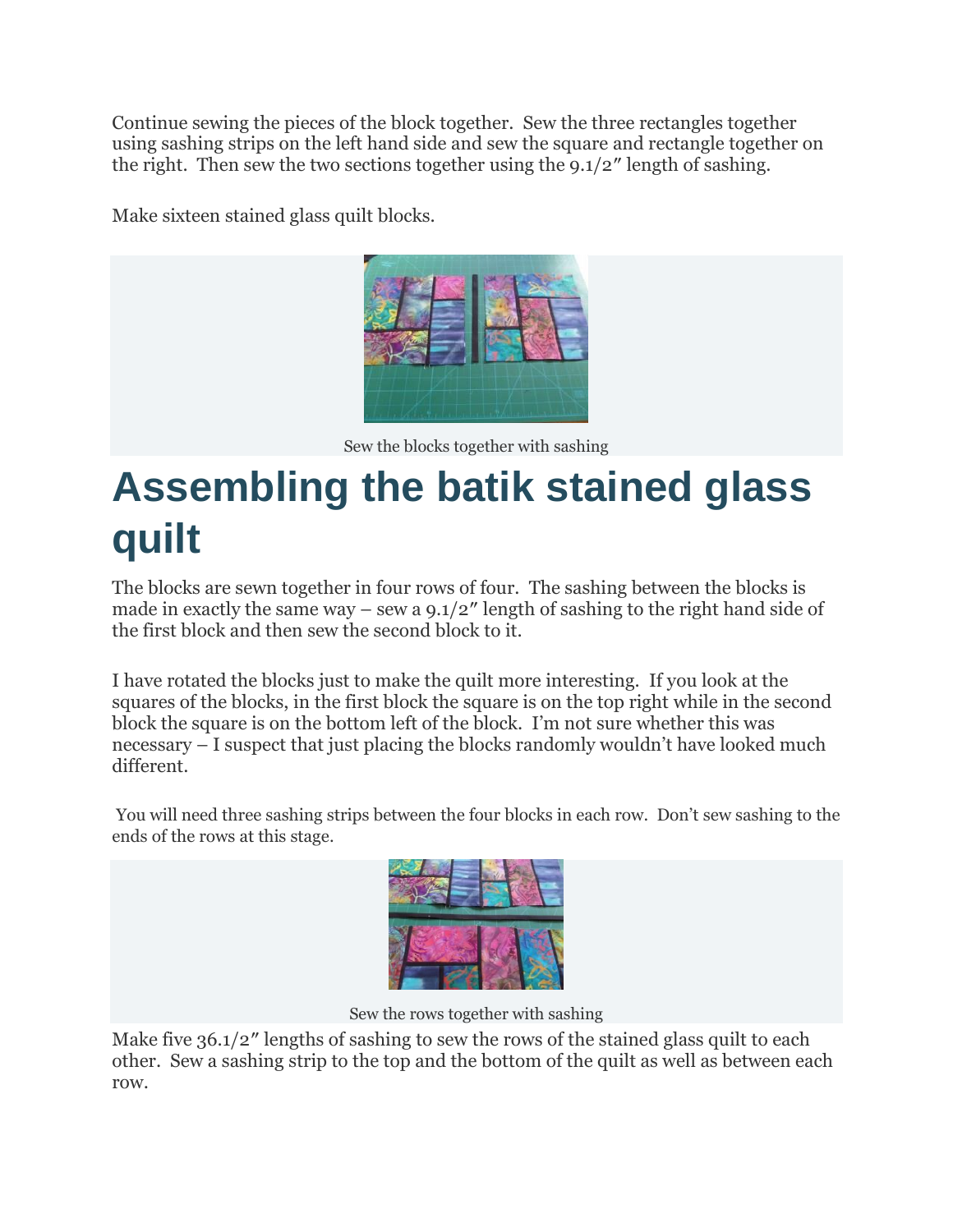Continue sewing the pieces of the block together. Sew the three rectangles together using sashing strips on the left hand side and sew the square and rectangle together on the right. Then sew the two sections together using the  $9.1/2$ " length of sashing.

Make sixteen stained glass quilt blocks.



Sew the blocks together with sashing

## **Assembling the batik stained glass quilt**

The blocks are sewn together in four rows of four. The sashing between the blocks is made in exactly the same way – sew a  $9.1/2$ " length of sashing to the right hand side of the first block and then sew the second block to it.

I have rotated the blocks just to make the quilt more interesting. If you look at the squares of the blocks, in the first block the square is on the top right while in the second block the square is on the bottom left of the block. I'm not sure whether this was necessary – I suspect that just placing the blocks randomly wouldn't have looked much different.

You will need three sashing strips between the four blocks in each row. Don't sew sashing to the ends of the rows at this stage.



Sew the rows together with sashing

Make five 36.1/2" lengths of sashing to sew the rows of the stained glass quilt to each other. Sew a sashing strip to the top and the bottom of the quilt as well as between each row.